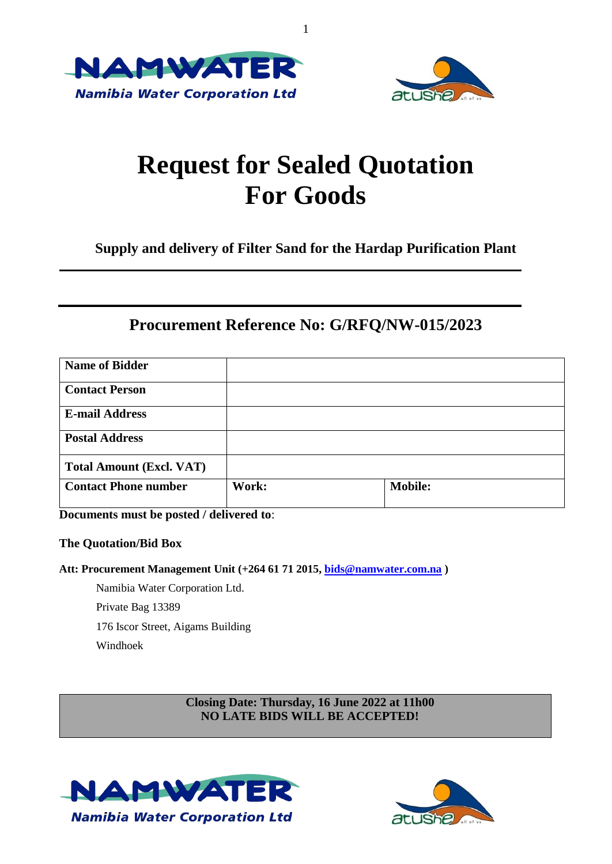



# **Request for Sealed Quotation For Goods**

1

**Supply and delivery of Filter Sand for the Hardap Purification Plant**

### **Procurement Reference No: G/RFQ/NW-015/2023**

| <b>Name of Bidder</b>           |       |                |
|---------------------------------|-------|----------------|
| <b>Contact Person</b>           |       |                |
| <b>E-mail Address</b>           |       |                |
| <b>Postal Address</b>           |       |                |
| <b>Total Amount (Excl. VAT)</b> |       |                |
| <b>Contact Phone number</b>     | Work: | <b>Mobile:</b> |

**Documents must be posted / delivered to**:

### **The Quotation/Bid Box**

**Att: Procurement Management Unit (+264 61 71 2015, [bids@namwater.com.na](mailto:bids@namwater.com.na) )**

Namibia Water Corporation Ltd. Private Bag 13389

176 Iscor Street, Aigams Building

Windhoek

**Closing Date: Thursday, 16 June 2022 at 11h00 NO LATE BIDS WILL BE ACCEPTED!**



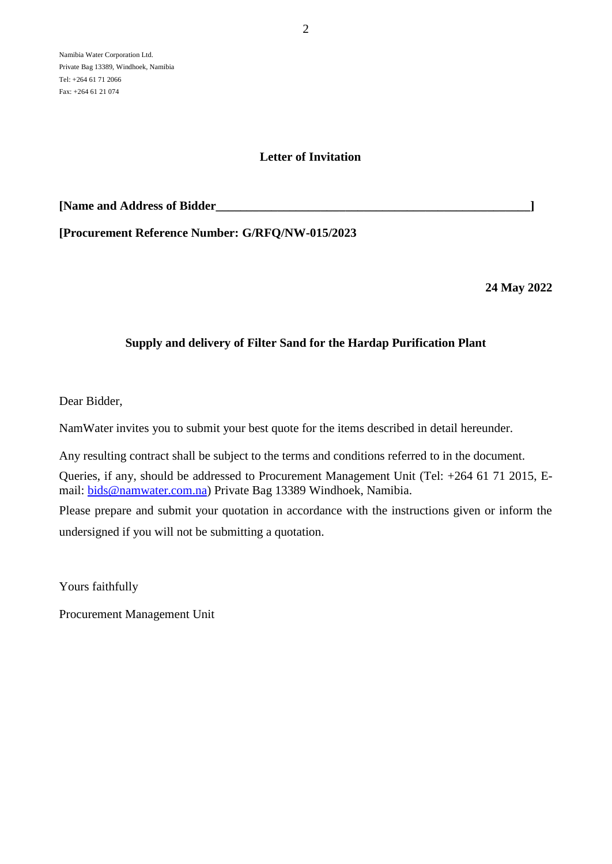### **Letter of Invitation**

| [Name and Address of Bidder |
|-----------------------------|
|-----------------------------|

**[Procurement Reference Number: G/RFQ/NW-015/2023**

**24 May 2022**

### **Supply and delivery of Filter Sand for the Hardap Purification Plant**

Dear Bidder,

NamWater invites you to submit your best quote for the items described in detail hereunder.

Any resulting contract shall be subject to the terms and conditions referred to in the document.

Queries, if any, should be addressed to Procurement Management Unit (Tel: +264 61 71 2015, Email: [bids@namwater.com.na\)](mailto:bids@namwater.com.na) Private Bag 13389 Windhoek, Namibia.

Please prepare and submit your quotation in accordance with the instructions given or inform the undersigned if you will not be submitting a quotation.

Yours faithfully

Procurement Management Unit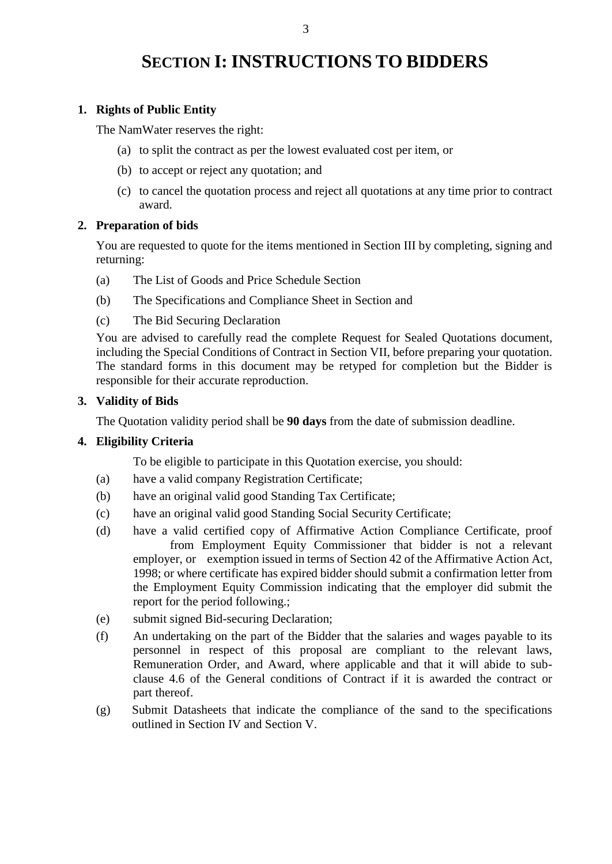## **SECTION I: INSTRUCTIONS TO BIDDERS**

### **1. Rights of Public Entity**

The NamWater reserves the right:

- (a) to split the contract as per the lowest evaluated cost per item, or
- (b) to accept or reject any quotation; and
- (c) to cancel the quotation process and reject all quotations at any time prior to contract award.

### **2. Preparation of bids**

You are requested to quote for the items mentioned in Section III by completing, signing and returning:

- (a) The List of Goods and Price Schedule Section
- (b) The Specifications and Compliance Sheet in Section and
- (c) The Bid Securing Declaration

You are advised to carefully read the complete Request for Sealed Quotations document, including the Special Conditions of Contract in Section VII, before preparing your quotation. The standard forms in this document may be retyped for completion but the Bidder is responsible for their accurate reproduction.

### **3. Validity of Bids**

The Quotation validity period shall be **90 days** from the date of submission deadline.

### **4. Eligibility Criteria**

To be eligible to participate in this Quotation exercise, you should:

- (a) have a valid company Registration Certificate;
- (b) have an original valid good Standing Tax Certificate;
- (c) have an original valid good Standing Social Security Certificate;
- (d) have a valid certified copy of Affirmative Action Compliance Certificate, proof from Employment Equity Commissioner that bidder is not a relevant employer, or exemption issued in terms of Section 42 of the Affirmative Action Act, 1998; or where certificate has expired bidder should submit a confirmation letter from the Employment Equity Commission indicating that the employer did submit the report for the period following.;
- (e) submit signed Bid-securing Declaration;
- (f) An undertaking on the part of the Bidder that the salaries and wages payable to its personnel in respect of this proposal are compliant to the relevant laws, Remuneration Order, and Award, where applicable and that it will abide to subclause 4.6 of the General conditions of Contract if it is awarded the contract or part thereof.
- (g) Submit Datasheets that indicate the compliance of the sand to the specifications outlined in Section IV and Section V.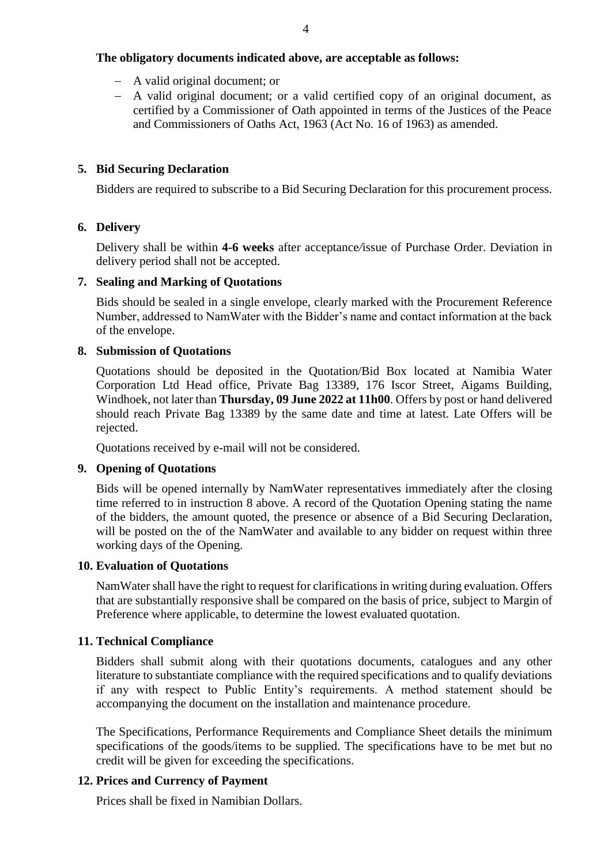### **The obligatory documents indicated above, are acceptable as follows:**

- A valid original document; or
- A valid original document; or a valid certified copy of an original document, as certified by a Commissioner of Oath appointed in terms of the Justices of the Peace and Commissioners of Oaths Act, 1963 (Act No. 16 of 1963) as amended.

### **5. Bid Securing Declaration**

Bidders are required to subscribe to a Bid Securing Declaration for this procurement process.

### **6. Delivery**

Delivery shall be within **4-6 weeks** after acceptance*/*issue of Purchase Order. Deviation in delivery period shall not be accepted.

### **7. Sealing and Marking of Quotations**

Bids should be sealed in a single envelope, clearly marked with the Procurement Reference Number, addressed to NamWater with the Bidder's name and contact information at the back of the envelope.

### **8. Submission of Quotations**

Quotations should be deposited in the Quotation/Bid Box located at Namibia Water Corporation Ltd Head office, Private Bag 13389, 176 Iscor Street, Aigams Building, Windhoek, not later than **Thursday, 09 June 2022 at 11h00**. Offers by post or hand delivered should reach Private Bag 13389 by the same date and time at latest. Late Offers will be rejected.

Quotations received by e-mail will not be considered.

### **9. Opening of Quotations**

Bids will be opened internally by NamWater representatives immediately after the closing time referred to in instruction 8 above. A record of the Quotation Opening stating the name of the bidders, the amount quoted, the presence or absence of a Bid Securing Declaration, will be posted on the of the NamWater and available to any bidder on request within three working days of the Opening.

#### **10. Evaluation of Quotations**

NamWater shall have the right to request for clarifications in writing during evaluation. Offers that are substantially responsive shall be compared on the basis of price, subject to Margin of Preference where applicable, to determine the lowest evaluated quotation.

### **11. Technical Compliance**

Bidders shall submit along with their quotations documents, catalogues and any other literature to substantiate compliance with the required specifications and to qualify deviations if any with respect to Public Entity's requirements. A method statement should be accompanying the document on the installation and maintenance procedure.

The Specifications, Performance Requirements and Compliance Sheet details the minimum specifications of the goods/items to be supplied. The specifications have to be met but no credit will be given for exceeding the specifications.

### **12. Prices and Currency of Payment**

Prices shall be fixed in Namibian Dollars.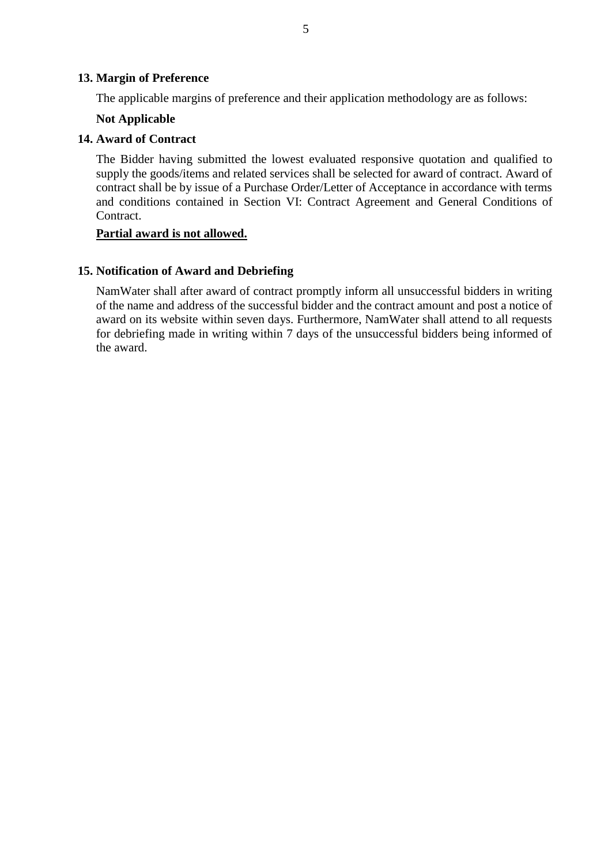#### **13. Margin of Preference**

The applicable margins of preference and their application methodology are as follows:

#### **Not Applicable**

#### **14. Award of Contract**

The Bidder having submitted the lowest evaluated responsive quotation and qualified to supply the goods/items and related services shall be selected for award of contract. Award of contract shall be by issue of a Purchase Order/Letter of Acceptance in accordance with terms and conditions contained in Section VI: Contract Agreement and General Conditions of Contract.

#### **Partial award is not allowed.**

#### **15. Notification of Award and Debriefing**

NamWater shall after award of contract promptly inform all unsuccessful bidders in writing of the name and address of the successful bidder and the contract amount and post a notice of award on its website within seven days. Furthermore, NamWater shall attend to all requests for debriefing made in writing within 7 days of the unsuccessful bidders being informed of the award.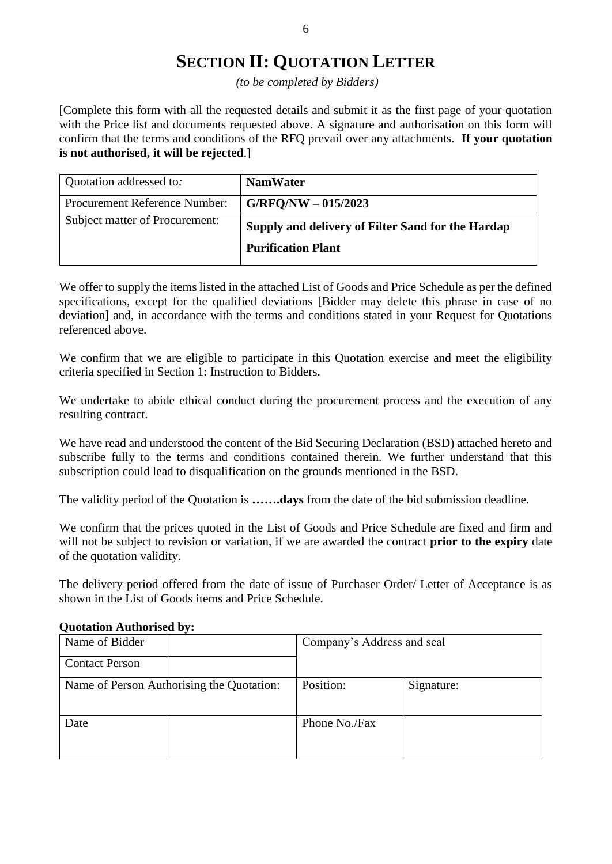### **SECTION II: QUOTATION LETTER**

*(to be completed by Bidders)*

[Complete this form with all the requested details and submit it as the first page of your quotation with the Price list and documents requested above. A signature and authorisation on this form will confirm that the terms and conditions of the RFQ prevail over any attachments. **If your quotation is not authorised, it will be rejected**.]

| Quotation addressed to:        | <b>NamWater</b>                                   |
|--------------------------------|---------------------------------------------------|
| Procurement Reference Number:  | $G/RFQ/NW - 015/2023$                             |
| Subject matter of Procurement: | Supply and delivery of Filter Sand for the Hardap |
|                                | <b>Purification Plant</b>                         |

We offer to supply the items listed in the attached List of Goods and Price Schedule as per the defined specifications, except for the qualified deviations [Bidder may delete this phrase in case of no deviation] and, in accordance with the terms and conditions stated in your Request for Quotations referenced above.

We confirm that we are eligible to participate in this Quotation exercise and meet the eligibility criteria specified in Section 1: Instruction to Bidders.

We undertake to abide ethical conduct during the procurement process and the execution of any resulting contract.

We have read and understood the content of the Bid Securing Declaration (BSD) attached hereto and subscribe fully to the terms and conditions contained therein. We further understand that this subscription could lead to disqualification on the grounds mentioned in the BSD.

The validity period of the Quotation is **…….days** from the date of the bid submission deadline.

We confirm that the prices quoted in the List of Goods and Price Schedule are fixed and firm and will not be subject to revision or variation, if we are awarded the contract **prior to the expiry** date of the quotation validity.

The delivery period offered from the date of issue of Purchaser Order/ Letter of Acceptance is as shown in the List of Goods items and Price Schedule.

# Name of Bidder  $\vert$  Company's Address and seal Contact Person Name of Person Authorising the Quotation: | Position: | Signature: Date Phone No./Fax

#### **Quotation Authorised by:**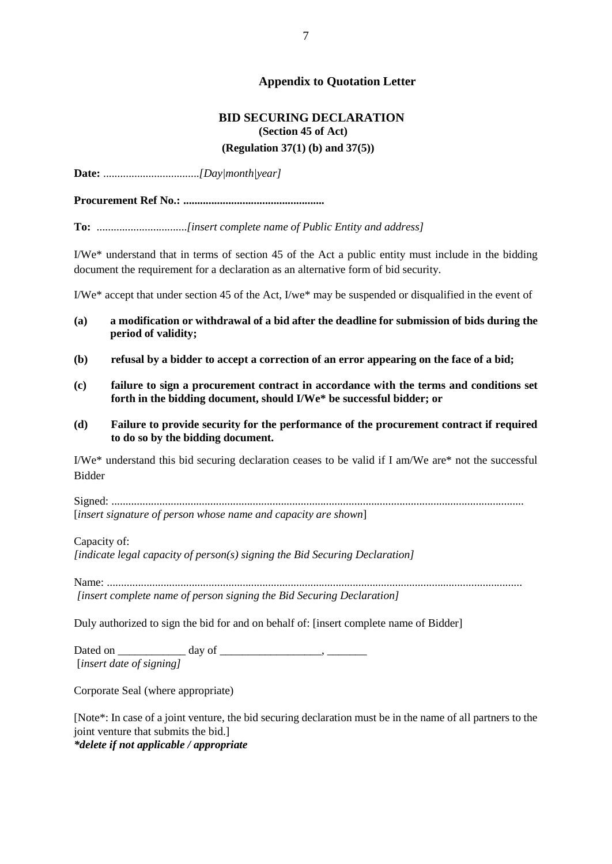### **Appendix to Quotation Letter**

### **BID SECURING DECLARATION (Section 45 of Act) (Regulation 37(1) (b) and 37(5))**

**Date:** ..................................*[Day|month|year]*

**Procurement Ref No.: ..................................................**

**To:** ................................*[insert complete name of Public Entity and address]*

I/We\* understand that in terms of section 45 of the Act a public entity must include in the bidding document the requirement for a declaration as an alternative form of bid security.

I/We\* accept that under section 45 of the Act, I/we\* may be suspended or disqualified in the event of

- **(a) a modification or withdrawal of a bid after the deadline for submission of bids during the period of validity;**
- **(b) refusal by a bidder to accept a correction of an error appearing on the face of a bid;**
- **(c) failure to sign a procurement contract in accordance with the terms and conditions set forth in the bidding document, should I/We\* be successful bidder; or**
- **(d) Failure to provide security for the performance of the procurement contract if required to do so by the bidding document.**

I/We\* understand this bid securing declaration ceases to be valid if I am/We are\* not the successful Bidder

Signed: .................................................................................................................................................. [*insert signature of person whose name and capacity are shown*]

Capacity of:

*[indicate legal capacity of person(s) signing the Bid Securing Declaration]*

Name: ................................................................................................................................................... *[insert complete name of person signing the Bid Securing Declaration]*

Duly authorized to sign the bid for and on behalf of: [insert complete name of Bidder]

Dated on \_\_\_\_\_\_\_\_\_\_\_\_ day of \_\_\_\_\_\_\_\_\_\_\_\_\_\_\_\_\_\_, \_\_\_\_\_\_\_ [*insert date of signing]*

Corporate Seal (where appropriate)

[Note\*: In case of a joint venture, the bid securing declaration must be in the name of all partners to the joint venture that submits the bid.] *\*delete if not applicable / appropriate*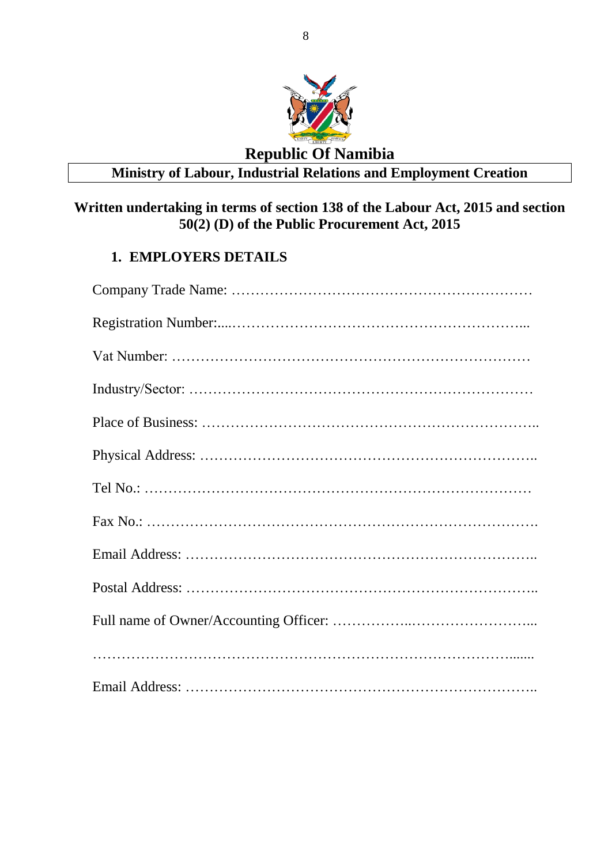

### **Republic Of Namibia Ministry of Labour, Industrial Relations and Employment Creation**

### **Written undertaking in terms of section 138 of the Labour Act, 2015 and section 50(2) (D) of the Public Procurement Act, 2015**

### **1. EMPLOYERS DETAILS**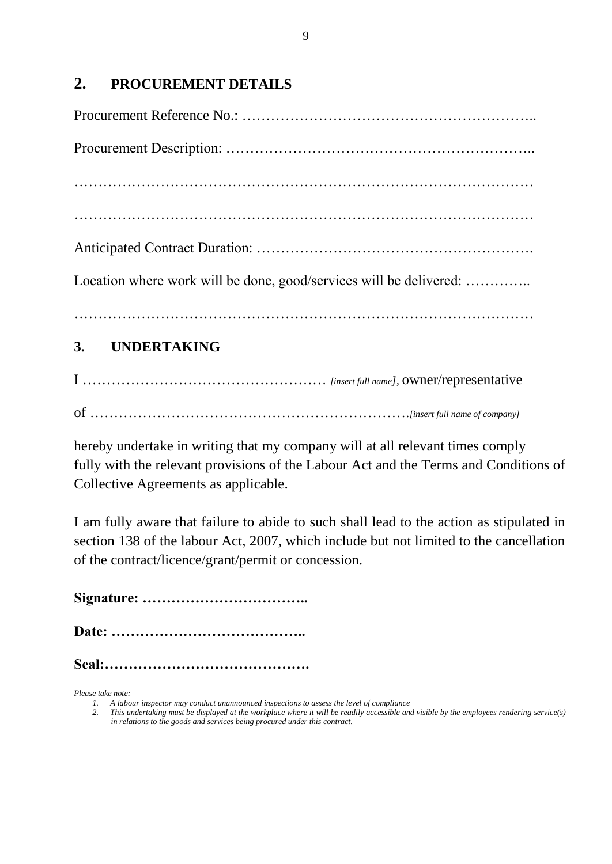### **2. PROCUREMENT DETAILS**

| Location where work will be done, good/services will be delivered: |
|--------------------------------------------------------------------|
| 3. UNDERTAKING                                                     |

I …………………………………………… *[insert full name]*, owner/representative of ………………………………………………………….*[insert full name of company]* 

hereby undertake in writing that my company will at all relevant times comply fully with the relevant provisions of the Labour Act and the Terms and Conditions of Collective Agreements as applicable.

I am fully aware that failure to abide to such shall lead to the action as stipulated in section 138 of the labour Act, 2007, which include but not limited to the cancellation of the contract/licence/grant/permit or concession.

**Signature: ……………………………..**

**Date: …………………………………..**

**Seal:…………………………………….**

*Please take note:*

*<sup>1.</sup> A labour inspector may conduct unannounced inspections to assess the level of compliance*

*<sup>2.</sup> This undertaking must be displayed at the workplace where it will be readily accessible and visible by the employees rendering service(s) in relations to the goods and services being procured under this contract.*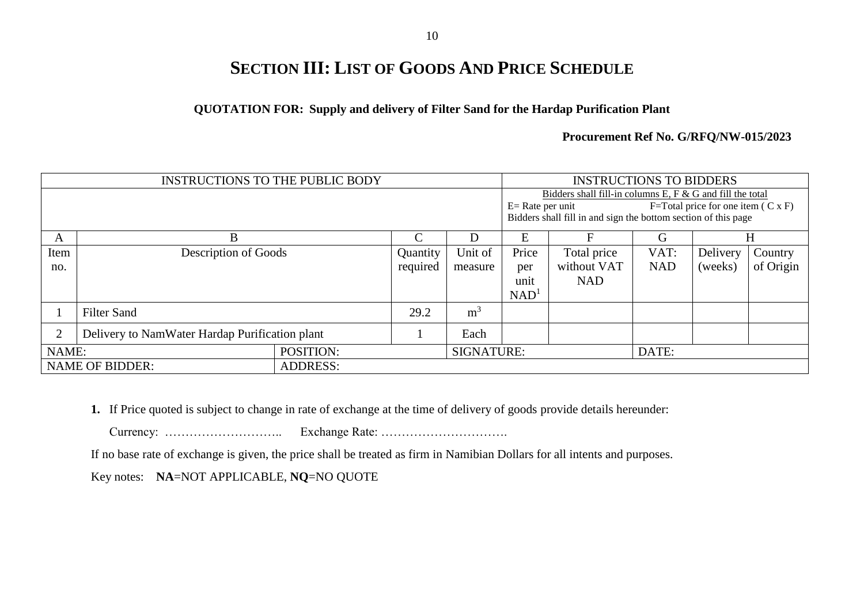# **SECTION III: LIST OF GOODS AND PRICE SCHEDULE**

### **QUOTATION FOR: Supply and delivery of Filter Sand for the Hardap Purification Plant**

#### **Procurement Ref No. G/RFQ/NW-015/2023**

| <b>INSTRUCTIONS TO THE PUBLIC BODY</b>    |                                                |  | <b>INSTRUCTIONS TO BIDDERS</b>                                 |                   |                  |                                                              |            |          |           |
|-------------------------------------------|------------------------------------------------|--|----------------------------------------------------------------|-------------------|------------------|--------------------------------------------------------------|------------|----------|-----------|
|                                           |                                                |  | Bidders shall fill-in columns E, F & G and fill the total      |                   |                  |                                                              |            |          |           |
|                                           |                                                |  |                                                                |                   |                  | $F = Total price for one item (C x F)$<br>$E=$ Rate per unit |            |          |           |
|                                           |                                                |  | Bidders shall fill in and sign the bottom section of this page |                   |                  |                                                              |            |          |           |
| B<br>D<br>A                               |                                                |  |                                                                | E                 | F                | G                                                            |            |          |           |
| Item                                      | Description of Goods                           |  | Quantity                                                       | Unit of           | Price            | Total price                                                  | VAT:       | Delivery | Country   |
| no.                                       |                                                |  | required                                                       | measure           | per              | without VAT                                                  | <b>NAD</b> | (weeks)  | of Origin |
|                                           |                                                |  |                                                                |                   | unit             | <b>NAD</b>                                                   |            |          |           |
|                                           |                                                |  |                                                                |                   | NAD <sup>1</sup> |                                                              |            |          |           |
|                                           | <b>Filter Sand</b>                             |  | 29.2                                                           | m <sup>3</sup>    |                  |                                                              |            |          |           |
| 2                                         | Delivery to NamWater Hardap Purification plant |  |                                                                | Each              |                  |                                                              |            |          |           |
| POSITION:<br>NAME:                        |                                                |  |                                                                | <b>SIGNATURE:</b> |                  | DATE:                                                        |            |          |           |
| <b>NAME OF BIDDER:</b><br><b>ADDRESS:</b> |                                                |  |                                                                |                   |                  |                                                              |            |          |           |

**1.** If Price quoted is subject to change in rate of exchange at the time of delivery of goods provide details hereunder:

Currency: ……………………….. Exchange Rate: ………………………….

If no base rate of exchange is given, the price shall be treated as firm in Namibian Dollars for all intents and purposes.

Key notes: **NA**=NOT APPLICABLE, **NQ**=NO QUOTE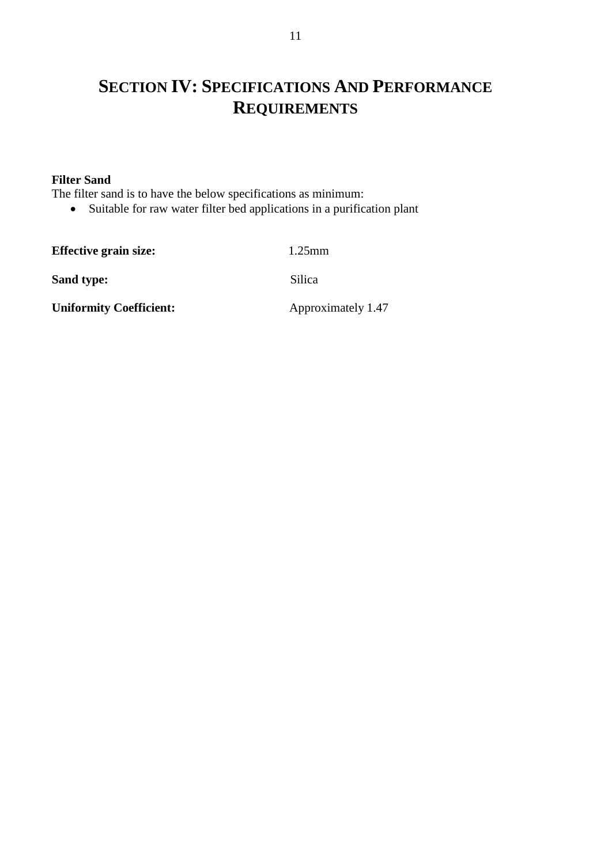# **SECTION IV: SPECIFICATIONS AND PERFORMANCE REQUIREMENTS**

### **Filter Sand**

The filter sand is to have the below specifications as minimum:

Suitable for raw water filter bed applications in a purification plant

**Effective grain size:** 1.25mm **Sand type:** Silica **Uniformity Coefficient:** Approximately 1.47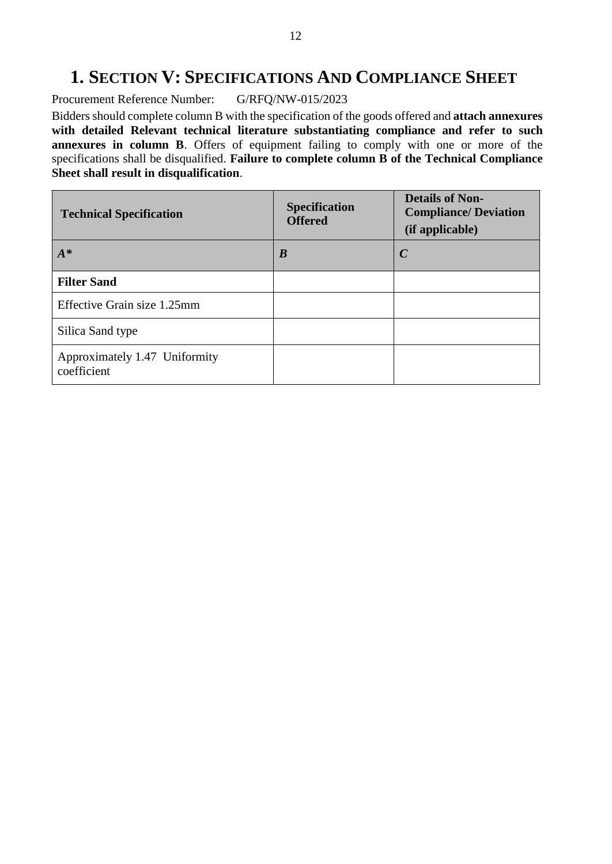### **1. SECTION V: SPECIFICATIONS AND COMPLIANCE SHEET**

Procurement Reference Number: G/RFQ/NW-015/2023

Bidders should complete column B with the specification of the goods offered and **attach annexures with detailed Relevant technical literature substantiating compliance and refer to such annexures in column B**. Offers of equipment failing to comply with one or more of the specifications shall be disqualified. **Failure to complete column B of the Technical Compliance Sheet shall result in disqualification**.

| <b>Technical Specification</b>               | <b>Specification</b><br><b>Offered</b> | <b>Details of Non-</b><br><b>Compliance/ Deviation</b><br>(if applicable) |
|----------------------------------------------|----------------------------------------|---------------------------------------------------------------------------|
| $A^*$                                        | B                                      | $\mathcal C$                                                              |
| <b>Filter Sand</b>                           |                                        |                                                                           |
| Effective Grain size 1.25mm                  |                                        |                                                                           |
| Silica Sand type                             |                                        |                                                                           |
| Approximately 1.47 Uniformity<br>coefficient |                                        |                                                                           |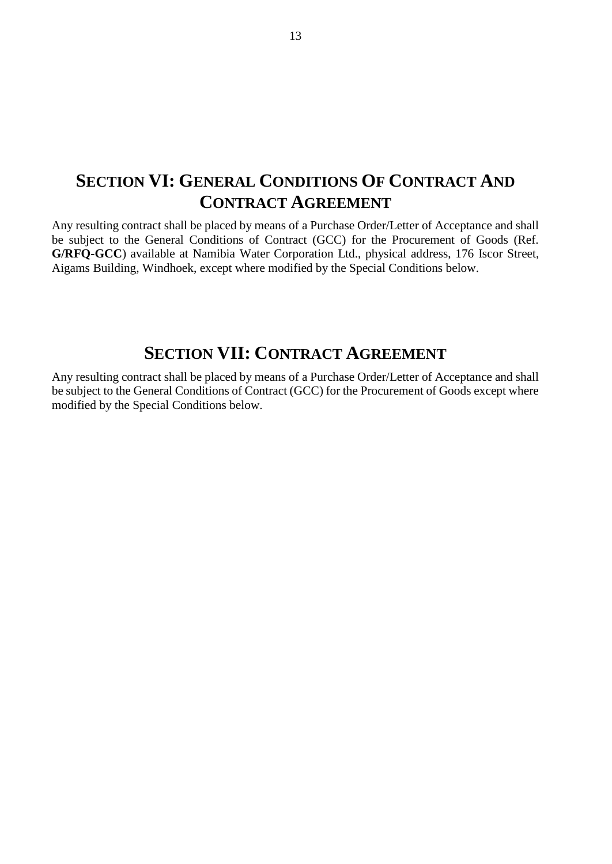## **SECTION VI: GENERAL CONDITIONS OF CONTRACT AND CONTRACT AGREEMENT**

Any resulting contract shall be placed by means of a Purchase Order/Letter of Acceptance and shall be subject to the General Conditions of Contract (GCC) for the Procurement of Goods (Ref. **G/RFQ-GCC**) available at Namibia Water Corporation Ltd., physical address, 176 Iscor Street, Aigams Building, Windhoek, except where modified by the Special Conditions below.

### **SECTION VII: CONTRACT AGREEMENT**

Any resulting contract shall be placed by means of a Purchase Order/Letter of Acceptance and shall be subject to the General Conditions of Contract (GCC) for the Procurement of Goods except where modified by the Special Conditions below.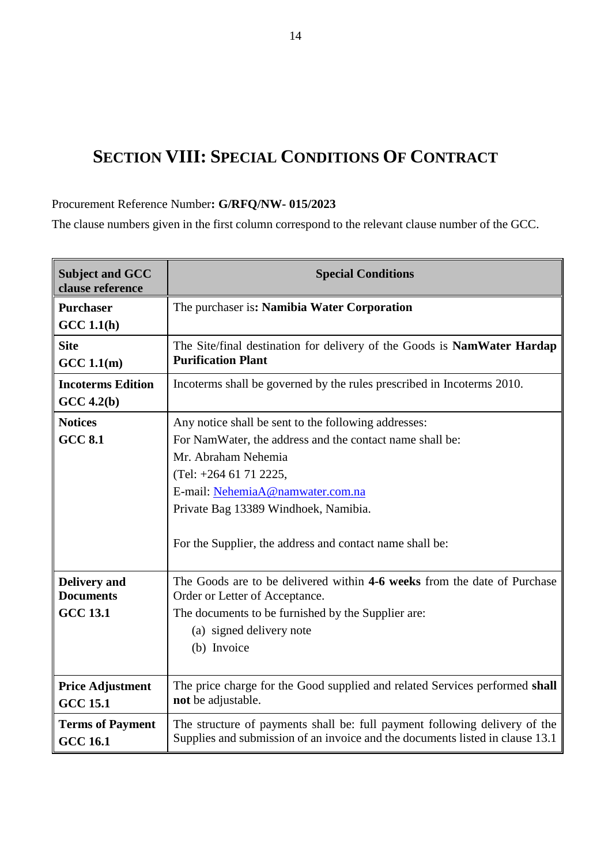# **SECTION VIII: SPECIAL CONDITIONS OF CONTRACT**

### Procurement Reference Number**: G/RFQ/NW- 015/2023**

The clause numbers given in the first column correspond to the relevant clause number of the GCC.

| <b>Subject and GCC</b><br>clause reference | <b>Special Conditions</b>                                                                                                                                   |  |  |
|--------------------------------------------|-------------------------------------------------------------------------------------------------------------------------------------------------------------|--|--|
| <b>Purchaser</b><br>GCC 1.1(h)             | The purchaser is: Namibia Water Corporation                                                                                                                 |  |  |
| <b>Site</b>                                | The Site/final destination for delivery of the Goods is NamWater Hardap                                                                                     |  |  |
| GCC 1.1(m)                                 | <b>Purification Plant</b>                                                                                                                                   |  |  |
| <b>Incoterms Edition</b>                   | Incoterms shall be governed by the rules prescribed in Incoterms 2010.                                                                                      |  |  |
| $GCC\ 4.2(b)$                              |                                                                                                                                                             |  |  |
| <b>Notices</b>                             | Any notice shall be sent to the following addresses:                                                                                                        |  |  |
| <b>GCC 8.1</b>                             | For NamWater, the address and the contact name shall be:                                                                                                    |  |  |
|                                            | Mr. Abraham Nehemia                                                                                                                                         |  |  |
|                                            | $(Tel: +264 61 71 2225,$                                                                                                                                    |  |  |
|                                            | E-mail: NehemiaA@namwater.com.na                                                                                                                            |  |  |
|                                            | Private Bag 13389 Windhoek, Namibia.                                                                                                                        |  |  |
|                                            | For the Supplier, the address and contact name shall be:                                                                                                    |  |  |
| <b>Delivery</b> and<br><b>Documents</b>    | The Goods are to be delivered within 4-6 weeks from the date of Purchase<br>Order or Letter of Acceptance.                                                  |  |  |
| <b>GCC 13.1</b>                            | The documents to be furnished by the Supplier are:                                                                                                          |  |  |
|                                            | (a) signed delivery note                                                                                                                                    |  |  |
|                                            | (b) Invoice                                                                                                                                                 |  |  |
|                                            |                                                                                                                                                             |  |  |
| <b>Price Adjustment</b><br><b>GCC 15.1</b> | The price charge for the Good supplied and related Services performed shall<br>not be adjustable.                                                           |  |  |
| <b>Terms of Payment</b><br><b>GCC 16.1</b> | The structure of payments shall be: full payment following delivery of the<br>Supplies and submission of an invoice and the documents listed in clause 13.1 |  |  |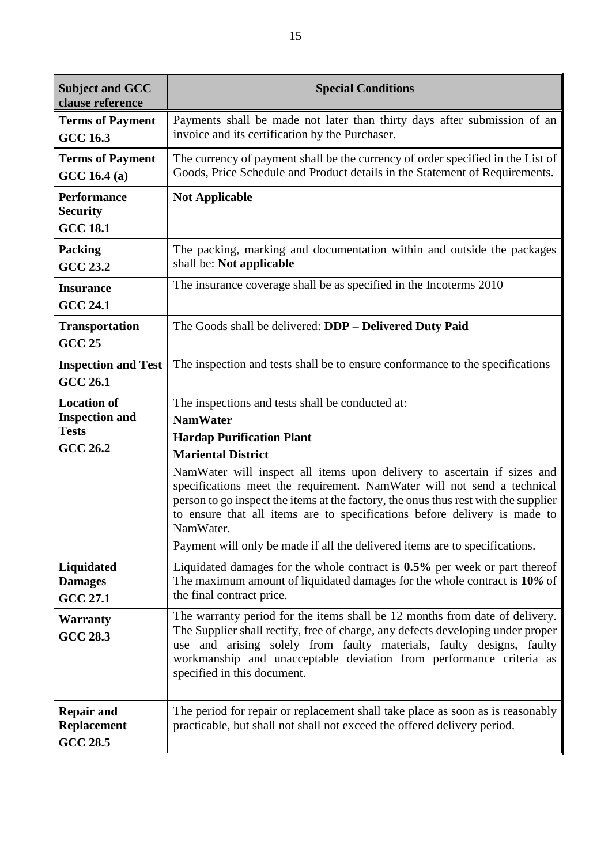| <b>Subject and GCC</b><br>clause reference                                     | <b>Special Conditions</b>                                                                                                                                                                                                                                                                                                                                                                                                                                                                                                                                  |  |  |
|--------------------------------------------------------------------------------|------------------------------------------------------------------------------------------------------------------------------------------------------------------------------------------------------------------------------------------------------------------------------------------------------------------------------------------------------------------------------------------------------------------------------------------------------------------------------------------------------------------------------------------------------------|--|--|
| <b>Terms of Payment</b><br><b>GCC 16.3</b>                                     | Payments shall be made not later than thirty days after submission of an<br>invoice and its certification by the Purchaser.                                                                                                                                                                                                                                                                                                                                                                                                                                |  |  |
| <b>Terms of Payment</b><br>GCC 16.4 (a)                                        | The currency of payment shall be the currency of order specified in the List of<br>Goods, Price Schedule and Product details in the Statement of Requirements.                                                                                                                                                                                                                                                                                                                                                                                             |  |  |
| <b>Performance</b><br><b>Security</b><br><b>GCC 18.1</b>                       | <b>Not Applicable</b>                                                                                                                                                                                                                                                                                                                                                                                                                                                                                                                                      |  |  |
| <b>Packing</b><br><b>GCC 23.2</b>                                              | The packing, marking and documentation within and outside the packages<br>shall be: Not applicable                                                                                                                                                                                                                                                                                                                                                                                                                                                         |  |  |
| <b>Insurance</b><br><b>GCC 24.1</b>                                            | The insurance coverage shall be as specified in the Incoterms 2010                                                                                                                                                                                                                                                                                                                                                                                                                                                                                         |  |  |
| <b>Transportation</b><br><b>GCC 25</b>                                         | The Goods shall be delivered: DDP - Delivered Duty Paid                                                                                                                                                                                                                                                                                                                                                                                                                                                                                                    |  |  |
| <b>Inspection and Test</b><br><b>GCC 26.1</b>                                  | The inspection and tests shall be to ensure conformance to the specifications                                                                                                                                                                                                                                                                                                                                                                                                                                                                              |  |  |
| <b>Location of</b><br><b>Inspection and</b><br><b>Tests</b><br><b>GCC 26.2</b> | The inspections and tests shall be conducted at:<br><b>NamWater</b><br><b>Hardap Purification Plant</b><br><b>Mariental District</b><br>NamWater will inspect all items upon delivery to ascertain if sizes and<br>specifications meet the requirement. NamWater will not send a technical<br>person to go inspect the items at the factory, the onus thus rest with the supplier<br>to ensure that all items are to specifications before delivery is made to<br>NamWater.<br>Payment will only be made if all the delivered items are to specifications. |  |  |
| Liquidated<br><b>Damages</b><br><b>GCC 27.1</b>                                | Liquidated damages for the whole contract is 0.5% per week or part thereof<br>The maximum amount of liquidated damages for the whole contract is 10% of<br>the final contract price.                                                                                                                                                                                                                                                                                                                                                                       |  |  |
| <b>Warranty</b><br><b>GCC 28.3</b>                                             | The warranty period for the items shall be 12 months from date of delivery.<br>The Supplier shall rectify, free of charge, any defects developing under proper<br>use and arising solely from faulty materials, faulty designs, faulty<br>workmanship and unacceptable deviation from performance criteria as<br>specified in this document.                                                                                                                                                                                                               |  |  |
| <b>Repair and</b><br><b>Replacement</b><br><b>GCC 28.5</b>                     | The period for repair or replacement shall take place as soon as is reasonably<br>practicable, but shall not shall not exceed the offered delivery period.                                                                                                                                                                                                                                                                                                                                                                                                 |  |  |